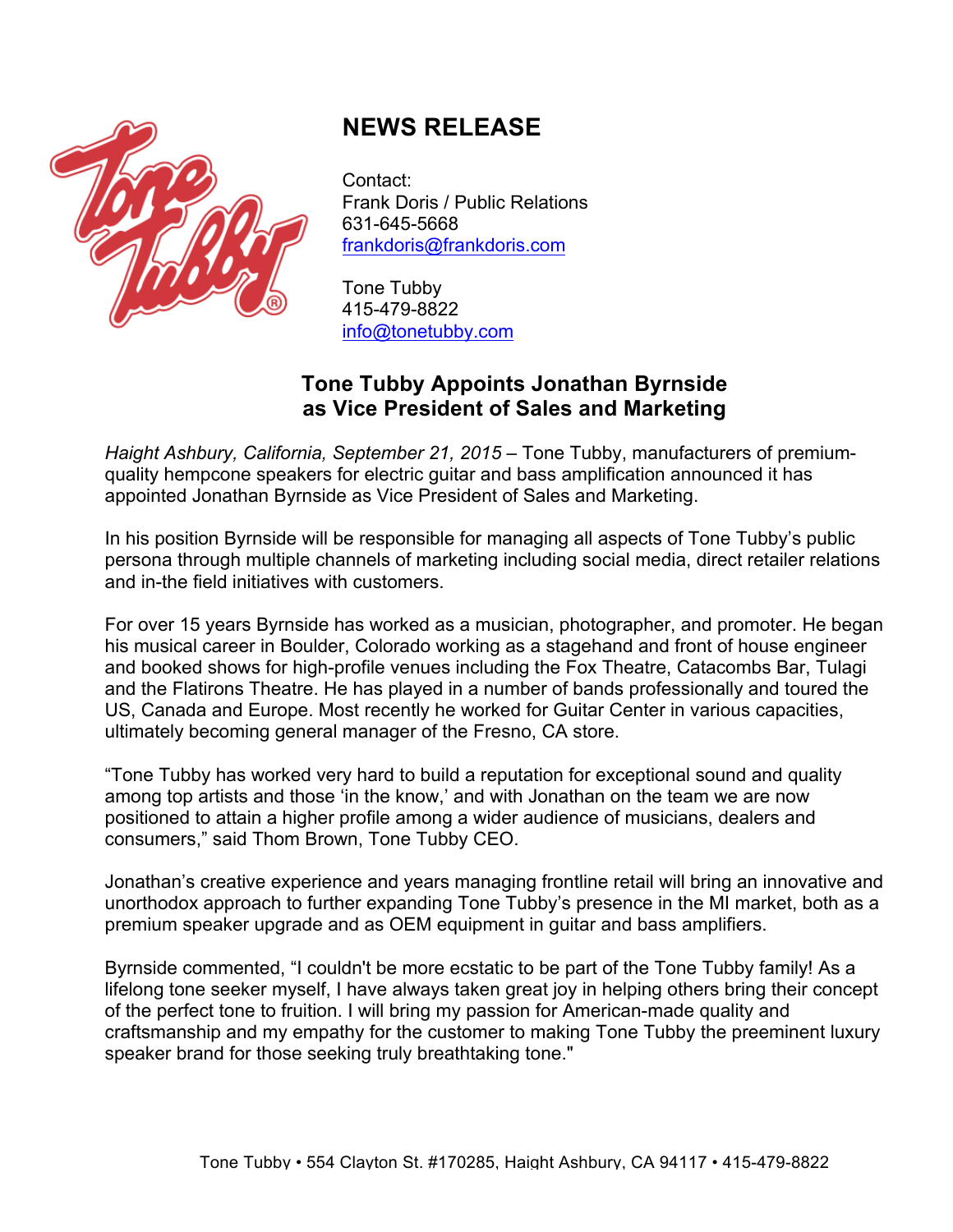

# **NEWS RELEASE**

Contact: Frank Doris / Public Relations 631-645-5668 frankdoris@frankdoris.com

Tone Tubby 415-479-8822 info@tonetubby.com

## **Tone Tubby Appoints Jonathan Byrnside as Vice President of Sales and Marketing**

*Haight Ashbury, California, September 21, 2015* – Tone Tubby, manufacturers of premiumquality hempcone speakers for electric guitar and bass amplification announced it has appointed Jonathan Byrnside as Vice President of Sales and Marketing.

In his position Byrnside will be responsible for managing all aspects of Tone Tubby's public persona through multiple channels of marketing including social media, direct retailer relations and in-the field initiatives with customers.

For over 15 years Byrnside has worked as a musician, photographer, and promoter. He began his musical career in Boulder, Colorado working as a stagehand and front of house engineer and booked shows for high-profile venues including the Fox Theatre, Catacombs Bar, Tulagi and the Flatirons Theatre. He has played in a number of bands professionally and toured the US, Canada and Europe. Most recently he worked for Guitar Center in various capacities, ultimately becoming general manager of the Fresno, CA store.

"Tone Tubby has worked very hard to build a reputation for exceptional sound and quality among top artists and those 'in the know,' and with Jonathan on the team we are now positioned to attain a higher profile among a wider audience of musicians, dealers and consumers," said Thom Brown, Tone Tubby CEO.

Jonathan's creative experience and years managing frontline retail will bring an innovative and unorthodox approach to further expanding Tone Tubby's presence in the MI market, both as a premium speaker upgrade and as OEM equipment in guitar and bass amplifiers.

Byrnside commented, "I couldn't be more ecstatic to be part of the Tone Tubby family! As a lifelong tone seeker myself, I have always taken great joy in helping others bring their concept of the perfect tone to fruition. I will bring my passion for American-made quality and craftsmanship and my empathy for the customer to making Tone Tubby the preeminent luxury speaker brand for those seeking truly breathtaking tone."